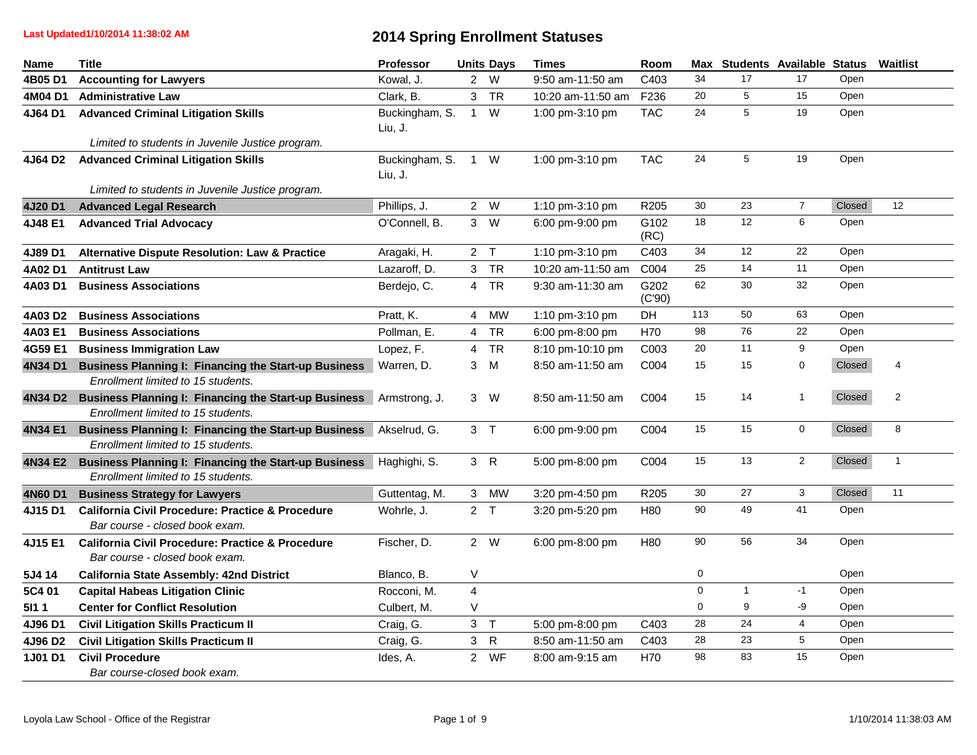| <b>Name</b>  | <b>Title</b>                                                                                       | Professor                 |                         | <b>Units Days</b> | <b>Times</b>      | Room           |             | Max Students Available Status |                         |        | Waitlist       |
|--------------|----------------------------------------------------------------------------------------------------|---------------------------|-------------------------|-------------------|-------------------|----------------|-------------|-------------------------------|-------------------------|--------|----------------|
| 4B05 D1      | <b>Accounting for Lawyers</b>                                                                      | Kowal, J.                 |                         | 2 W               | 9:50 am-11:50 am  | C403           | 34          | 17                            | 17                      | Open   |                |
| 4M04 D1      | <b>Administrative Law</b>                                                                          | Clark, B.                 |                         | 3 TR              | 10:20 am-11:50 am | F236           | 20          | 5                             | 15                      | Open   |                |
| 4J64 D1      | <b>Advanced Criminal Litigation Skills</b><br>Limited to students in Juvenile Justice program.     | Buckingham, S.<br>Liu, J. | $\mathbf{1}$            | W                 | 1:00 pm-3:10 pm   | <b>TAC</b>     | 24          | 5                             | 19                      | Open   |                |
|              |                                                                                                    | Buckingham, S.            |                         | 1 W               |                   | <b>TAC</b>     | 24          | 5                             | 19                      | Open   |                |
| 4J64 D2      | <b>Advanced Criminal Litigation Skills</b>                                                         | Liu, J.                   |                         |                   | 1:00 pm-3:10 pm   |                |             |                               |                         |        |                |
|              | Limited to students in Juvenile Justice program.                                                   |                           |                         |                   |                   |                |             |                               |                         |        |                |
| 4J20 D1      | <b>Advanced Legal Research</b>                                                                     | Phillips, J.              |                         | 2 W               | 1:10 pm-3:10 pm   | R205           | 30          | 23                            | $\overline{7}$          | Closed | 12             |
| 4J48 E1      | <b>Advanced Trial Advocacy</b>                                                                     | O'Connell, B.             |                         | $3 \quad W$       | 6:00 pm-9:00 pm   | G102<br>(RC)   | 18          | 12                            | 6                       | Open   |                |
| 4J89 D1      | <b>Alternative Dispute Resolution: Law &amp; Practice</b>                                          | Aragaki, H.               |                         | 2 <sub>T</sub>    | 1:10 pm-3:10 pm   | C403           | 34          | 12                            | 22                      | Open   |                |
| 4A02 D1      | <b>Antitrust Law</b>                                                                               | Lazaroff, D.              |                         | 3 TR              | 10:20 am-11:50 am | C004           | 25          | 14                            | 11                      | Open   |                |
| 4A03 D1      | <b>Business Associations</b>                                                                       | Berdejo, C.               |                         | 4 TR              | 9:30 am-11:30 am  | G202<br>(C'90) | 62          | 30                            | 32                      | Open   |                |
| 4A03 D2      | <b>Business Associations</b>                                                                       | Pratt, K.                 |                         | 4 MW              | 1:10 pm-3:10 pm   | <b>DH</b>      | 113         | 50                            | 63                      | Open   |                |
| 4A03 E1      | <b>Business Associations</b>                                                                       | Pollman, E.               |                         | 4 TR              | 6:00 pm-8:00 pm   | H70            | 98          | 76                            | 22                      | Open   |                |
| 4G59 E1      | <b>Business Immigration Law</b>                                                                    | Lopez, F.                 |                         | 4 TR              | 8:10 pm-10:10 pm  | C003           | 20          | 11                            | 9                       | Open   |                |
| 4N34 D1      | <b>Business Planning I: Financing the Start-up Business</b><br>Enrollment limited to 15 students.  | Warren, D.                |                         | 3 M               | 8:50 am-11:50 am  | C004           | 15          | 15                            | $\pmb{0}$               | Closed | 4              |
|              | 4N34 D2 Business Planning I: Financing the Start-up Business<br>Enrollment limited to 15 students. | Armstrong, J.             |                         | 3 W               | 8:50 am-11:50 am  | C004           | 15          | 14                            | $\mathbf{1}$            | Closed | $\overline{2}$ |
| 4N34 E1      | <b>Business Planning I: Financing the Start-up Business</b><br>Enrollment limited to 15 students.  | Akselrud, G.              |                         | 3 <sub>7</sub>    | 6:00 pm-9:00 pm   | C004           | 15          | 15                            | $\mathbf 0$             | Closed | 8              |
| 4N34 E2      | <b>Business Planning I: Financing the Start-up Business</b><br>Enrollment limited to 15 students.  | Haghighi, S.              |                         | 3 R               | 5:00 pm-8:00 pm   | C004           | 15          | 13                            | 2                       | Closed | $\mathbf{1}$   |
| 4N60 D1      | <b>Business Strategy for Lawyers</b>                                                               | Guttentag, M.             |                         | 3 MW              | 3:20 pm-4:50 pm   | R205           | 30          | 27                            | 3                       | Closed | 11             |
| 4J15 D1      | <b>California Civil Procedure: Practice &amp; Procedure</b><br>Bar course - closed book exam.      | Wohrle, J.                |                         | 2 <sub>T</sub>    | 3:20 pm-5:20 pm   | H80            | 90          | 49                            | 41                      | Open   |                |
| 4J15 E1      | <b>California Civil Procedure: Practice &amp; Procedure</b><br>Bar course - closed book exam.      | Fischer, D.               |                         | 2 W               | 6:00 pm-8:00 pm   | H80            | 90          | 56                            | 34                      | Open   |                |
| 5J4 14       | California State Assembly: 42nd District                                                           | Blanco, B.                | V                       |                   |                   |                | 0           |                               |                         | Open   |                |
| 5C4 01       | <b>Capital Habeas Litigation Clinic</b>                                                            | Rocconi, M.               | $\overline{\mathbf{4}}$ |                   |                   |                | $\mathbf 0$ | $\mathbf{1}$                  | $-1$                    | Open   |                |
| <b>5l1 1</b> | <b>Center for Conflict Resolution</b>                                                              | Culbert, M.               | $\mathsf V$             |                   |                   |                | $\mathbf 0$ | 9                             | -9                      | Open   |                |
| 4J96 D1      | <b>Civil Litigation Skills Practicum II</b>                                                        | Craig, G.                 |                         | 3 <sub>7</sub>    | 5:00 pm-8:00 pm   | C403           | 28          | 24                            | $\overline{\mathbf{4}}$ | Open   |                |
| 4J96 D2      | <b>Civil Litigation Skills Practicum II</b>                                                        | Craig, G.                 | 3 <sup>1</sup>          | $\mathsf{R}$      | 8:50 am-11:50 am  | C403           | 28          | 23                            | 5                       | Open   |                |
| 1J01 D1      | <b>Civil Procedure</b>                                                                             | Ides, A.                  | $\mathbf{2}$            | WF                | 8:00 am-9:15 am   | H70            | 98          | 83                            | 15                      | Open   |                |
|              | Bar course-closed book exam.                                                                       |                           |                         |                   |                   |                |             |                               |                         |        |                |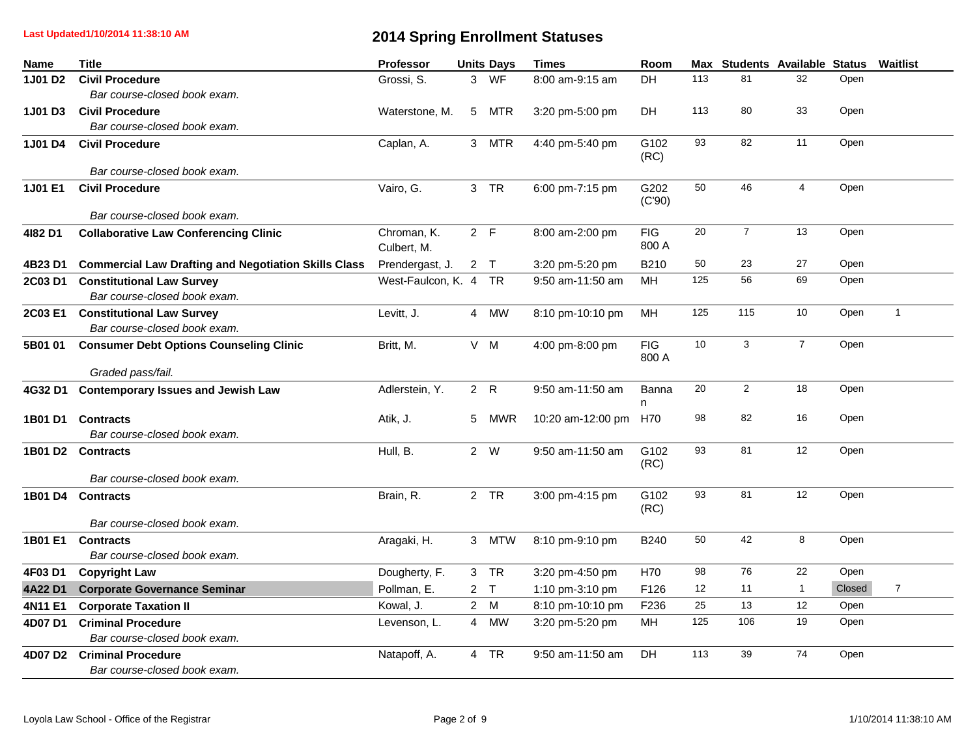**Last Updated1/10/2014 11:38:10 AM**

| Name                | <b>Title</b>                                                     | Professor                  |                | <b>Units Days</b> | <b>Times</b>      | Room                |      | Max Students Available Status |                |        | Waitlist       |
|---------------------|------------------------------------------------------------------|----------------------------|----------------|-------------------|-------------------|---------------------|------|-------------------------------|----------------|--------|----------------|
| 1J01 D <sub>2</sub> | <b>Civil Procedure</b>                                           | Grossi, S.                 | 3              | <b>WF</b>         | 8:00 am-9:15 am   | <b>DH</b>           | 113  | 81                            | 32             | Open   |                |
|                     | Bar course-closed book exam.                                     |                            |                |                   |                   |                     |      |                               |                |        |                |
| 1J01 D3             | <b>Civil Procedure</b>                                           | Waterstone, M.             | 5 <sup>5</sup> | <b>MTR</b>        | 3:20 pm-5:00 pm   | <b>DH</b>           | 113  | 80                            | 33             | Open   |                |
|                     | Bar course-closed book exam.                                     |                            |                |                   |                   |                     |      |                               |                |        |                |
| 1J01 D4             | <b>Civil Procedure</b>                                           | Caplan, A.                 |                | 3 MTR             | 4:40 pm-5:40 pm   | G102<br>(RC)        | 93   | 82                            | 11             | Open   |                |
|                     | Bar course-closed book exam.                                     |                            |                |                   |                   |                     |      |                               |                |        |                |
| 1J01 E1             | <b>Civil Procedure</b><br>Bar course-closed book exam.           | Vairo, G.                  |                | 3 TR              | 6:00 pm-7:15 pm   | G202<br>(C'90)      | 50   | 46                            | $\overline{4}$ | Open   |                |
| 4182 D1             | <b>Collaborative Law Conferencing Clinic</b>                     | Chroman, K.<br>Culbert, M. |                | 2 F               | 8:00 am-2:00 pm   | <b>FIG</b><br>800 A | 20   | $\overline{7}$                | 13             | Open   |                |
| 4B23 D1             | <b>Commercial Law Drafting and Negotiation Skills Class</b>      | Prendergast, J.            |                | 2 <sub>T</sub>    | 3:20 pm-5:20 pm   | B210                | 50   | 23                            | 27             | Open   |                |
| 2C03 D1             | <b>Constitutional Law Survey</b><br>Bar course-closed book exam. | West-Faulcon, K. 4 TR      |                |                   | 9:50 am-11:50 am  | MH                  | 125  | 56                            | 69             | Open   |                |
|                     | 2C03 E1 Constitutional Law Survey                                | Levitt, J.                 | $\overline{4}$ | MW                | 8:10 pm-10:10 pm  | MH                  | 125  | 115                           | 10             | Open   | $\mathbf{1}$   |
|                     | Bar course-closed book exam.                                     |                            |                |                   |                   |                     |      |                               |                |        |                |
| 5B01 01             | <b>Consumer Debt Options Counseling Clinic</b>                   | Britt, M.                  |                | V M               | 4:00 pm-8:00 pm   | <b>FIG</b><br>800 A | $10$ | 3                             | $\overline{7}$ | Open   |                |
|                     | Graded pass/fail.                                                |                            |                |                   |                   |                     | 20   | $\overline{2}$                | 18             | Open   |                |
| 4G32 D1             | <b>Contemporary Issues and Jewish Law</b>                        | Adlerstein, Y.             |                | 2 R               | 9:50 am-11:50 am  | Banna<br>n          |      |                               |                |        |                |
| 1B01 D1             | <b>Contracts</b>                                                 | Atik, J.                   |                | 5 MWR             | 10:20 am-12:00 pm | H70                 | 98   | 82                            | 16             | Open   |                |
|                     | Bar course-closed book exam.                                     |                            |                |                   |                   |                     |      |                               |                |        |                |
|                     | 1B01 D2 Contracts                                                | Hull, B.                   |                | 2 W               | 9:50 am-11:50 am  | G102<br>(RC)        | 93   | 81                            | 12             | Open   |                |
|                     | Bar course-closed book exam.                                     |                            |                |                   |                   |                     |      |                               |                |        |                |
|                     | 1B01 D4 Contracts<br>Bar course-closed book exam.                | Brain, R.                  |                | 2 TR              | 3:00 pm-4:15 pm   | G102<br>(RC)        | 93   | 81                            | 12             | Open   |                |
|                     | 1B01 E1 Contracts<br>Bar course-closed book exam.                | Aragaki, H.                |                | 3 MTW             | 8:10 pm-9:10 pm   | <b>B240</b>         | 50   | 42                            | $\bf 8$        | Open   |                |
| 4F03 D1             | <b>Copyright Law</b>                                             | Dougherty, F.              |                | 3 TR              | 3:20 pm-4:50 pm   | H70                 | 98   | 76                            | 22             | Open   |                |
| 4A22 D1             | <b>Corporate Governance Seminar</b>                              | Pollman, E.                |                | 2 <sub>T</sub>    | 1:10 pm-3:10 pm   | F126                | 12   | 11                            | $\mathbf{1}$   | Closed | $\overline{7}$ |
| 4N11 E1             | <b>Corporate Taxation II</b>                                     | Kowal, J.                  |                | 2 M               | 8:10 pm-10:10 pm  | F236                | 25   | 13                            | 12             | Open   |                |
|                     |                                                                  |                            |                |                   |                   |                     | 125  | 106                           | 19             | Open   |                |
| 4D07 D1             | <b>Criminal Procedure</b><br>Bar course-closed book exam.        | Levenson, L.               |                | 4 MW              | 3:20 pm-5:20 pm   | MH                  |      |                               |                |        |                |
|                     | 4D07 D2 Criminal Procedure<br>Bar course-closed book exam.       | Natapoff, A.               |                | 4 TR              | 9:50 am-11:50 am  | <b>DH</b>           | 113  | 39                            | 74             | Open   |                |
|                     |                                                                  |                            |                |                   |                   |                     |      |                               |                |        |                |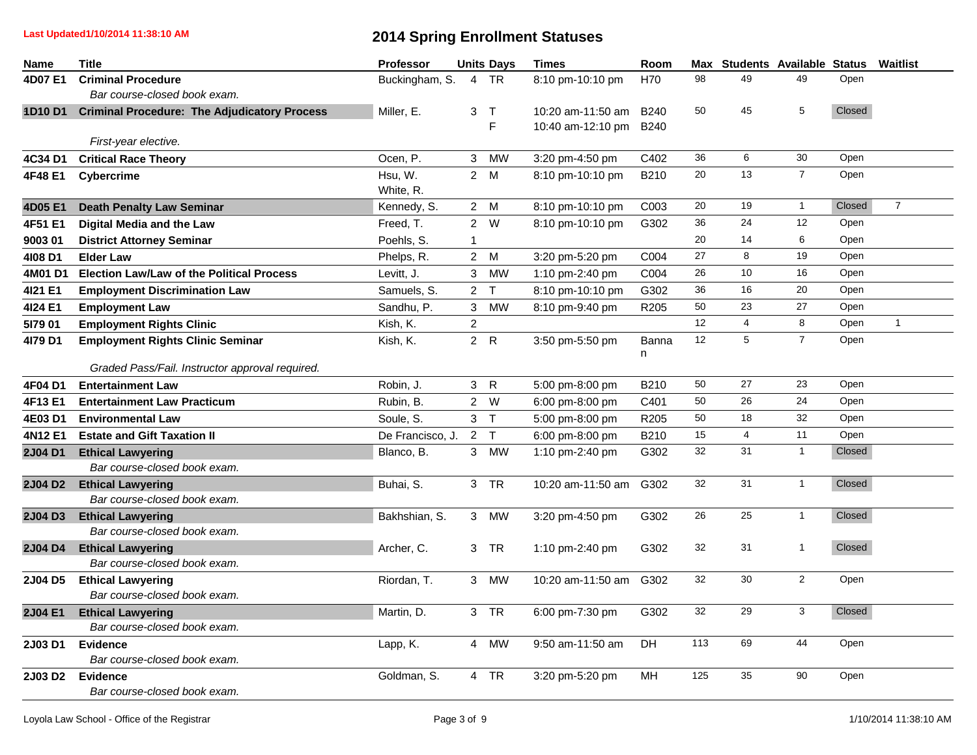**Last Updated1/10/2014 11:38:10 AM**

| <b>Name</b>    | <b>Title</b>                                        | <b>Professor</b> |                | <b>Units Days</b> | <b>Times</b>      | Room             |     |                | Max Students Available Status |        | <b>Waitlist</b> |
|----------------|-----------------------------------------------------|------------------|----------------|-------------------|-------------------|------------------|-----|----------------|-------------------------------|--------|-----------------|
| 4D07 E1        | <b>Criminal Procedure</b>                           | Buckingham, S.   | $\overline{4}$ | <b>TR</b>         | 8:10 pm-10:10 pm  | H70              | 98  | 49             | 49                            | Open   |                 |
|                | Bar course-closed book exam.                        |                  |                |                   |                   |                  |     |                |                               |        |                 |
| 1D10 D1        | <b>Criminal Procedure: The Adjudicatory Process</b> | Miller, E.       | 3              | $\top$            | 10:20 am-11:50 am | B <sub>240</sub> | 50  | 45             | 5                             | Closed |                 |
|                |                                                     |                  |                | F                 | 10:40 am-12:10 pm | <b>B240</b>      |     |                |                               |        |                 |
|                | First-year elective.                                |                  |                |                   |                   |                  |     |                |                               |        |                 |
| 4C34 D1        | <b>Critical Race Theory</b>                         | Ocen, P.         |                | 3 MW              | 3:20 pm-4:50 pm   | C402             | 36  | 6              | 30                            | Open   |                 |
| 4F48 E1        | <b>Cybercrime</b>                                   | Hsu, W.          |                | 2 M               | 8:10 pm-10:10 pm  | B210             | 20  | 13             | $\overline{7}$                | Open   |                 |
|                |                                                     | White, R.        |                |                   |                   |                  |     |                |                               |        |                 |
| 4D05 E1        | <b>Death Penalty Law Seminar</b>                    | Kennedy, S.      |                | 2 M               | 8:10 pm-10:10 pm  | C003             | 20  | 19             | $\mathbf{1}$                  | Closed | $\overline{7}$  |
| 4F51 E1        | Digital Media and the Law                           | Freed, T.        |                | 2 W               | 8:10 pm-10:10 pm  | G302             | 36  | 24             | 12                            | Open   |                 |
| 9003 01        | <b>District Attorney Seminar</b>                    | Poehls, S.       | $\mathbf{1}$   |                   |                   |                  | 20  | 14             | 6                             | Open   |                 |
| 4108 D1        | <b>Elder Law</b>                                    | Phelps, R.       |                | 2 M               | 3:20 pm-5:20 pm   | C004             | 27  | 8              | 19                            | Open   |                 |
| 4M01 D1        | <b>Election Law/Law of the Political Process</b>    | Levitt, J.       |                | 3 MW              | 1:10 pm-2:40 pm   | C004             | 26  | 10             | 16                            | Open   |                 |
| 4121 E1        | <b>Employment Discrimination Law</b>                | Samuels, S.      |                | 2 <sub>T</sub>    | 8:10 pm-10:10 pm  | G302             | 36  | 16             | 20                            | Open   |                 |
| 4124 E1        | <b>Employment Law</b>                               | Sandhu, P.       | 3 <sup>1</sup> | <b>MW</b>         | 8:10 pm-9:40 pm   | R <sub>205</sub> | 50  | 23             | 27                            | Open   |                 |
| 5179 01        | <b>Employment Rights Clinic</b>                     | Kish, K.         | $\overline{2}$ |                   |                   |                  | 12  | $\overline{4}$ | 8                             | Open   | $\mathbf{1}$    |
| 4179 D1        | <b>Employment Rights Clinic Seminar</b>             | Kish, K.         |                | 2 R               | 3:50 pm-5:50 pm   | <b>Banna</b>     | 12  | 5              | $\overline{7}$                | Open   |                 |
|                |                                                     |                  |                |                   |                   | n                |     |                |                               |        |                 |
|                | Graded Pass/Fail. Instructor approval required.     |                  |                |                   |                   |                  |     |                |                               |        |                 |
| 4F04 D1        | <b>Entertainment Law</b>                            | Robin, J.        |                | 3 R               | 5:00 pm-8:00 pm   | B210             | 50  | 27             | 23                            | Open   |                 |
| 4F13 E1        | <b>Entertainment Law Practicum</b>                  | Rubin, B.        |                | 2 W               | 6:00 pm-8:00 pm   | C401             | 50  | 26             | 24                            | Open   |                 |
| 4E03 D1        | <b>Environmental Law</b>                            | Soule, S.        |                | 3 <sub>T</sub>    | 5:00 pm-8:00 pm   | R205             | 50  | 18             | 32                            | Open   |                 |
| 4N12 E1        | <b>Estate and Gift Taxation II</b>                  | De Francisco, J. |                | 2 <sub>T</sub>    | 6:00 pm-8:00 pm   | B210             | 15  | $\overline{4}$ | 11                            | Open   |                 |
| 2J04 D1        | <b>Ethical Lawyering</b>                            | Blanco, B.       |                | 3 MW              | 1:10 pm-2:40 pm   | G302             | 32  | 31             | $\mathbf{1}$                  | Closed |                 |
|                | Bar course-closed book exam.                        |                  |                |                   |                   |                  |     |                |                               |        |                 |
| <b>2J04 D2</b> | <b>Ethical Lawyering</b>                            | Buhai, S.        |                | 3 TR              | 10:20 am-11:50 am | G302             | 32  | 31             | $\mathbf{1}$                  | Closed |                 |
|                | Bar course-closed book exam.                        |                  |                |                   |                   |                  |     |                |                               |        |                 |
| 2J04 D3        | <b>Ethical Lawyering</b>                            | Bakhshian, S.    |                | 3 MW              | 3:20 pm-4:50 pm   | G302             | 26  | 25             | $\mathbf{1}$                  | Closed |                 |
|                | Bar course-closed book exam.                        |                  |                |                   |                   |                  |     |                |                               |        |                 |
| 2J04 D4        | <b>Ethical Lawyering</b>                            | Archer, C.       |                | 3 TR              | 1:10 pm-2:40 pm   | G302             | 32  | 31             | $\mathbf{1}$                  | Closed |                 |
|                | Bar course-closed book exam.                        |                  |                |                   |                   |                  |     |                |                               |        |                 |
| <b>2J04 D5</b> | <b>Ethical Lawyering</b>                            | Riordan, T.      |                | 3 MW              | 10:20 am-11:50 am | G302             | 32  | 30             | $\overline{2}$                | Open   |                 |
|                | Bar course-closed book exam.                        |                  |                |                   |                   |                  |     |                |                               |        |                 |
| <b>2J04 E1</b> | <b>Ethical Lawyering</b>                            | Martin, D.       |                | 3 TR              | 6:00 pm-7:30 pm   | G302             | 32  | 29             | 3                             | Closed |                 |
|                | Bar course-closed book exam.                        |                  |                |                   |                   |                  |     |                |                               |        |                 |
| 2J03 D1        | <b>Evidence</b>                                     | Lapp, K.         | $\overline{4}$ | MW                | 9:50 am-11:50 am  | <b>DH</b>        | 113 | 69             | 44                            | Open   |                 |
|                | Bar course-closed book exam.                        |                  |                |                   |                   |                  |     |                |                               |        |                 |
| 2J03 D2        | <b>Evidence</b>                                     | Goldman, S.      |                | 4 TR              | 3:20 pm-5:20 pm   | MН               | 125 | 35             | 90                            | Open   |                 |
|                | Bar course-closed book exam.                        |                  |                |                   |                   |                  |     |                |                               |        |                 |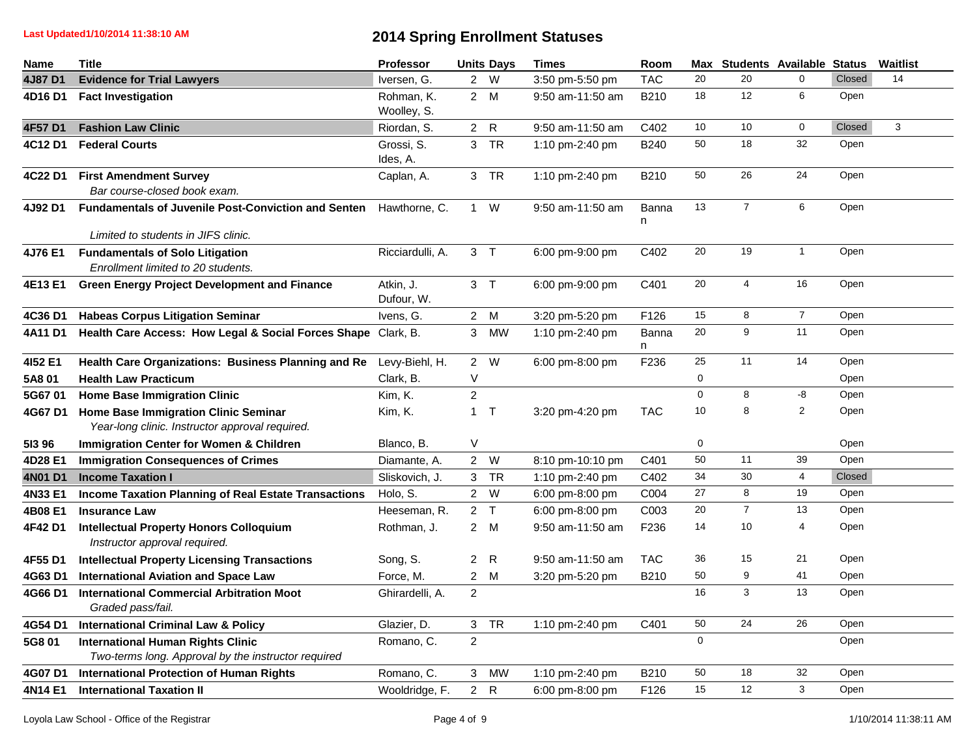| Name    | <b>Title</b>                                                                                      | Professor                 |                | <b>Units Days</b> | <b>Times</b>     | Room              |             |                         | Max Students Available Status |        | Waitlist     |
|---------|---------------------------------------------------------------------------------------------------|---------------------------|----------------|-------------------|------------------|-------------------|-------------|-------------------------|-------------------------------|--------|--------------|
| 4J87 D1 | <b>Evidence for Trial Lawyers</b>                                                                 | Iversen, G.               |                | 2 W               | 3:50 pm-5:50 pm  | <b>TAC</b>        | 20          | 20                      | $\Omega$                      | Closed | 14           |
| 4D16 D1 | <b>Fact Investigation</b>                                                                         | Rohman, K.<br>Woolley, S. |                | 2 M               | 9:50 am-11:50 am | B210              | 18          | 12                      | 6                             | Open   |              |
| 4F57 D1 | <b>Fashion Law Clinic</b>                                                                         | Riordan, S.               |                | 2 R               | 9:50 am-11:50 am | C402              | 10          | 10                      | $\mathbf 0$                   | Closed | $\mathbf{3}$ |
| 4C12 D1 | <b>Federal Courts</b>                                                                             | Grossi, S.<br>Ides, A.    |                | 3 TR              | 1:10 pm-2:40 pm  | B240              | 50          | 18                      | 32                            | Open   |              |
| 4C22 D1 | <b>First Amendment Survey</b><br>Bar course-closed book exam.                                     | Caplan, A.                |                | 3 TR              | 1:10 pm-2:40 pm  | B210              | 50          | 26                      | 24                            | Open   |              |
| 4J92 D1 | <b>Fundamentals of Juvenile Post-Conviction and Senten</b><br>Limited to students in JIFS clinic. | Hawthorne, C.             |                | $1 \quad W$       | 9:50 am-11:50 am | <b>Banna</b><br>n | 13          | $\overline{7}$          | 6                             | Open   |              |
|         |                                                                                                   |                           |                | 3 <sub>T</sub>    |                  |                   | 20          | 19                      | $\mathbf{1}$                  | Open   |              |
| 4J76 E1 | <b>Fundamentals of Solo Litigation</b><br>Enrollment limited to 20 students.                      | Ricciardulli, A.          |                |                   | 6:00 pm-9:00 pm  | C402              |             |                         |                               |        |              |
| 4E13 E1 | <b>Green Energy Project Development and Finance</b>                                               | Atkin, J.<br>Dufour, W.   |                | 3 <sub>T</sub>    | 6:00 pm-9:00 pm  | C401              | 20          | $\overline{\mathbf{4}}$ | 16                            | Open   |              |
| 4C36 D1 | <b>Habeas Corpus Litigation Seminar</b>                                                           | Ivens, G.                 |                | 2 M               | 3:20 pm-5:20 pm  | F126              | 15          | 8                       | $\overline{7}$                | Open   |              |
| 4A11 D1 | Health Care Access: How Legal & Social Forces Shape Clark, B.                                     |                           |                | 3 MW              | 1:10 pm-2:40 pm  | <b>Banna</b><br>n | 20          | 9                       | 11                            | Open   |              |
| 4152 E1 | Health Care Organizations: Business Planning and Re                                               | Levy-Biehl, H.            |                | 2 W               | 6:00 pm-8:00 pm  | F236              | 25          | 11                      | 14                            | Open   |              |
| 5A8 01  | <b>Health Law Practicum</b>                                                                       | Clark, B.                 | V              |                   |                  |                   | 0           |                         |                               | Open   |              |
| 5G6701  | <b>Home Base Immigration Clinic</b>                                                               | Kim, K.                   | $\overline{c}$ |                   |                  |                   | $\mathsf 0$ | 8                       | $\textnormal{-}8$             | Open   |              |
| 4G67 D1 | Home Base Immigration Clinic Seminar<br>Year-long clinic. Instructor approval required.           | Kim, K.                   |                | $1$ T             | 3:20 pm-4:20 pm  | <b>TAC</b>        | 10          | 8                       | $\overline{c}$                | Open   |              |
| 51396   | <b>Immigration Center for Women &amp; Children</b>                                                | Blanco, B.                | $\vee$         |                   |                  |                   | $\mathsf 0$ |                         |                               | Open   |              |
| 4D28 E1 | <b>Immigration Consequences of Crimes</b>                                                         | Diamante, A.              |                | 2 W               | 8:10 pm-10:10 pm | C401              | 50          | 11                      | 39                            | Open   |              |
| 4N01 D1 | <b>Income Taxation I</b>                                                                          | Sliskovich, J.            |                | 3 TR              | 1:10 pm-2:40 pm  | C402              | 34          | 30                      | $\overline{4}$                | Closed |              |
| 4N33 E1 | <b>Income Taxation Planning of Real Estate Transactions</b>                                       | Holo, S.                  |                | 2 W               | 6:00 pm-8:00 pm  | C004              | 27          | 8                       | 19                            | Open   |              |
| 4B08 E1 | <b>Insurance Law</b>                                                                              | Heeseman, R.              |                | 2 <sub>T</sub>    | 6:00 pm-8:00 pm  | C003              | 20          | $\overline{7}$          | 13                            | Open   |              |
| 4F42 D1 | <b>Intellectual Property Honors Colloquium</b><br>Instructor approval required.                   | Rothman, J.               |                | 2 M               | 9:50 am-11:50 am | F236              | 14          | 10                      | 4                             | Open   |              |
| 4F55 D1 | <b>Intellectual Property Licensing Transactions</b>                                               | Song, S.                  |                | 2 R               | 9:50 am-11:50 am | <b>TAC</b>        | 36          | 15                      | 21                            | Open   |              |
| 4G63 D1 | <b>International Aviation and Space Law</b>                                                       | Force, M.                 |                | 2 M               | 3:20 pm-5:20 pm  | B210              | 50          | 9                       | 41                            | Open   |              |
| 4G66 D1 | <b>International Commercial Arbitration Moot</b><br>Graded pass/fail.                             | Ghirardelli, A.           | $\overline{2}$ |                   |                  |                   | 16          | 3                       | 13                            | Open   |              |
| 4G54 D1 | <b>International Criminal Law &amp; Policy</b>                                                    | Glazier, D.               | 3 <sup>7</sup> | <b>TR</b>         | 1:10 pm-2:40 pm  | C401              | 50          | 24                      | 26                            | Open   |              |
| 5G8 01  | <b>International Human Rights Clinic</b><br>Two-terms long. Approval by the instructor required   | Romano, C.                | $\overline{2}$ |                   |                  |                   | $\mathbf 0$ |                         |                               | Open   |              |
| 4G07 D1 | <b>International Protection of Human Rights</b>                                                   | Romano, C.                | $\mathbf{3}$   | <b>MW</b>         | 1:10 pm-2:40 pm  | B210              | 50          | 18                      | 32                            | Open   |              |
| 4N14 E1 | <b>International Taxation II</b>                                                                  | Wooldridge, F.            |                | 2 R               | 6:00 pm-8:00 pm  | F126              | 15          | 12                      | 3                             | Open   |              |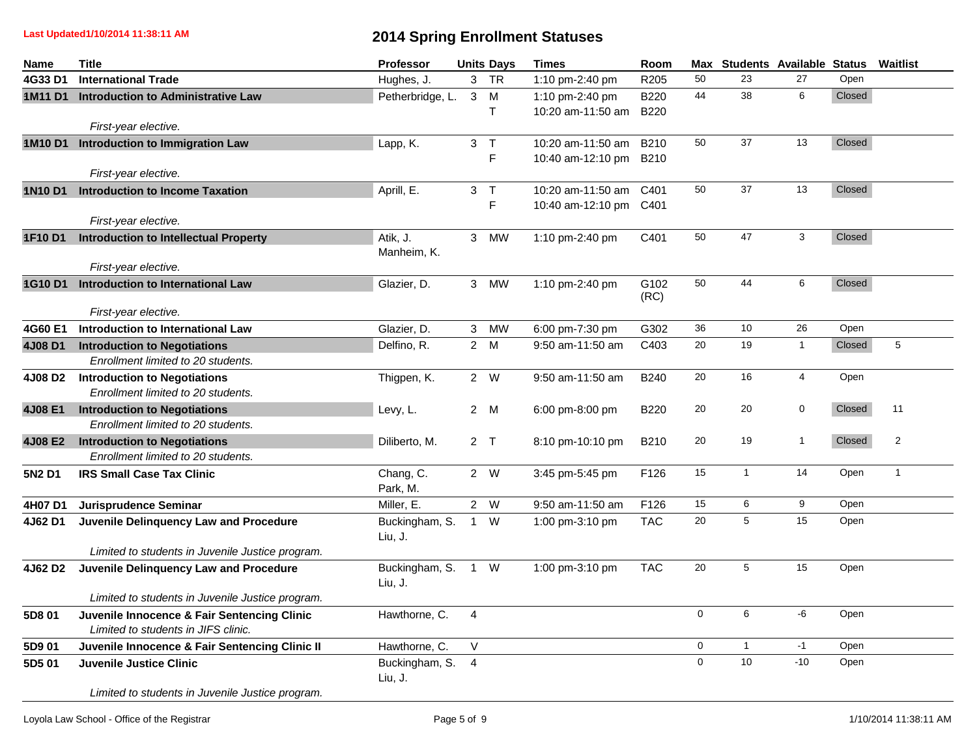**Last Updated1/10/2014 11:38:11 AM**

| <b>Name</b>   | <b>Title</b>                                                                       | Professor                 |                | <b>Units Days</b>   | <b>Times</b>                                | Room                | Max         |              | <b>Students Available Status</b> |        | Waitlist       |
|---------------|------------------------------------------------------------------------------------|---------------------------|----------------|---------------------|---------------------------------------------|---------------------|-------------|--------------|----------------------------------|--------|----------------|
| 4G33 D1       | <b>International Trade</b>                                                         | Hughes, J.                |                | 3 TR                | 1:10 pm-2:40 pm                             | R205                | 50          | 23           | 27                               | Open   |                |
| 1M11 D1       | <b>Introduction to Administrative Law</b>                                          | Petherbridge, L.          | $\mathbf{3}$   | M<br>$\mathsf{T}$   | 1:10 pm-2:40 pm<br>10:20 am-11:50 am        | B220<br><b>B220</b> | 44          | 38           | 6                                | Closed |                |
|               | First-year elective.                                                               |                           |                |                     |                                             |                     |             |              |                                  |        |                |
| 1M10 D1       | <b>Introduction to Immigration Law</b>                                             | Lapp, K.                  |                | 3 <sub>7</sub><br>F | 10:20 am-11:50 am<br>10:40 am-12:10 pm B210 | B210                | 50          | 37           | 13                               | Closed |                |
|               | First-year elective.                                                               |                           |                |                     |                                             |                     |             |              |                                  |        |                |
| <b>1N10D1</b> | <b>Introduction to Income Taxation</b><br>First-year elective.                     | Aprill, E.                |                | 3 <sub>7</sub><br>F | 10:20 am-11:50 am<br>10:40 am-12:10 pm C401 | C401                | 50          | 37           | 13                               | Closed |                |
| 1F10 D1       | <b>Introduction to Intellectual Property</b>                                       | Atik, J.<br>Manheim, K.   | 3 <sup>1</sup> | <b>MW</b>           | 1:10 pm-2:40 pm                             | C401                | 50          | 47           | 3                                | Closed |                |
|               | First-year elective.                                                               |                           |                |                     |                                             |                     |             |              |                                  |        |                |
| 1G10 D1       | Introduction to International Law<br>First-year elective.                          | Glazier, D.               | $\mathbf{3}$   | <b>MW</b>           | 1:10 pm-2:40 pm                             | G102<br>(RC)        | 50          | 44           | 6                                | Closed |                |
| 4G60 E1       | Introduction to International Law                                                  | Glazier, D.               | $\mathbf{3}$   | <b>MW</b>           | 6:00 pm-7:30 pm                             | G302                | 36          | 10           | 26                               | Open   |                |
| 4J08 D1       | <b>Introduction to Negotiations</b>                                                | Delfino, R.               |                | 2 M                 | 9:50 am-11:50 am                            | C403                | 20          | 19           | $\overline{1}$                   | Closed | $\sqrt{5}$     |
|               | Enrollment limited to 20 students.                                                 |                           |                |                     |                                             |                     |             |              |                                  |        |                |
| 4J08 D2       | <b>Introduction to Negotiations</b><br>Enrollment limited to 20 students.          | Thigpen, K.               |                | 2 W                 | 9:50 am-11:50 am                            | B240                | 20          | 16           | 4                                | Open   |                |
| 4J08 E1       | <b>Introduction to Negotiations</b><br>Enrollment limited to 20 students.          | Levy, L.                  |                | 2 M                 | 6:00 pm-8:00 pm                             | B220                | 20          | 20           | $\mathbf 0$                      | Closed | 11             |
| 4J08 E2       | <b>Introduction to Negotiations</b><br>Enrollment limited to 20 students.          | Diliberto, M.             |                | 2 <sub>T</sub>      | 8:10 pm-10:10 pm                            | B210                | 20          | 19           | $\mathbf{1}$                     | Closed | $\overline{2}$ |
| 5N2 D1        | <b>IRS Small Case Tax Clinic</b>                                                   | Chang, C.<br>Park, M.     |                | 2 W                 | 3:45 pm-5:45 pm                             | F126                | 15          | $\mathbf{1}$ | 14                               | Open   | $\mathbf{1}$   |
| 4H07 D1       | Jurisprudence Seminar                                                              | Miller, E.                |                | 2 W                 | 9:50 am-11:50 am                            | F126                | 15          | 6            | 9                                | Open   |                |
| 4J62 D1       | Juvenile Delinquency Law and Procedure                                             | Buckingham, S.<br>Liu, J. | $\mathbf{1}$   | W                   | 1:00 pm-3:10 pm                             | <b>TAC</b>          | 20          | 5            | 15                               | Open   |                |
|               | Limited to students in Juvenile Justice program.                                   |                           |                |                     |                                             |                     |             |              |                                  |        |                |
| 4J62 D2       | Juvenile Delinquency Law and Procedure                                             | Buckingham, S.<br>Liu, J. |                | $1 \quad W$         | 1:00 pm-3:10 pm                             | <b>TAC</b>          | 20          | 5            | 15                               | Open   |                |
|               | Limited to students in Juvenile Justice program.                                   |                           |                |                     |                                             |                     |             |              |                                  |        |                |
| 5D8 01        | Juvenile Innocence & Fair Sentencing Clinic<br>Limited to students in JIFS clinic. | Hawthorne, C.             | 4              |                     |                                             |                     | $\mathsf 0$ | 6            | $-6$                             | Open   |                |
| 5D9 01        | Juvenile Innocence & Fair Sentencing Clinic II                                     | Hawthorne, C.             | $\vee$         |                     |                                             |                     | 0           | $\mathbf{1}$ | $-1$                             | Open   |                |
| 5D5 01        | <b>Juvenile Justice Clinic</b>                                                     | Buckingham, S.<br>Liu, J. | 4              |                     |                                             |                     | $\mathbf 0$ | 10           | $-10$                            | Open   |                |
|               | Limited to students in Juvenile Justice program.                                   |                           |                |                     |                                             |                     |             |              |                                  |        |                |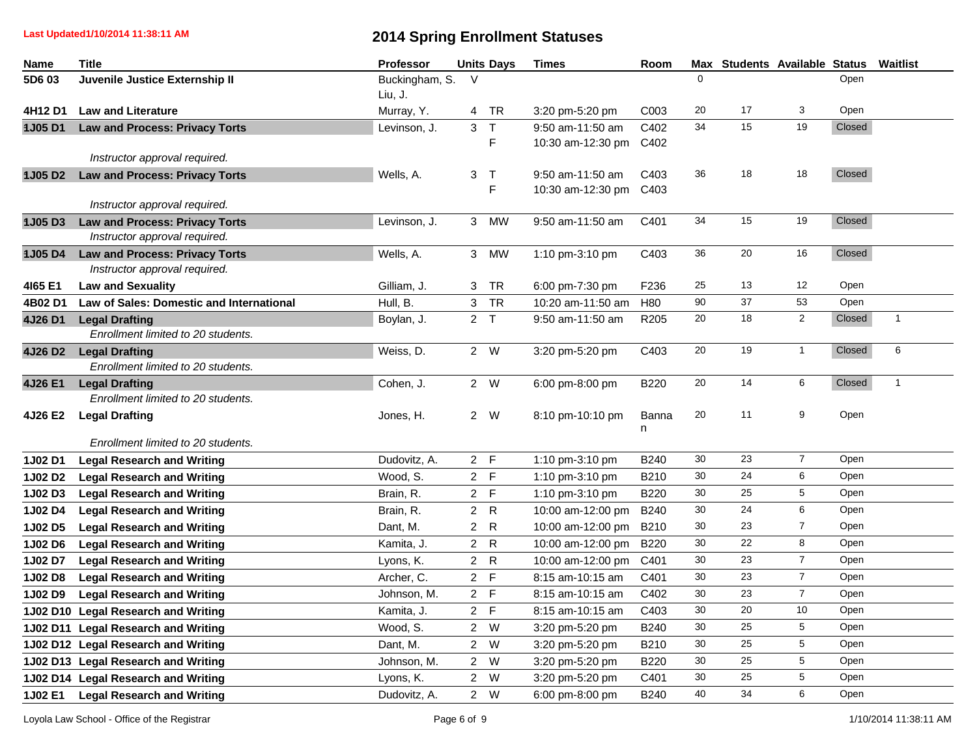**Last Updated1/10/2014 11:38:11 AM**

| <b>Name</b>    | <b>Title</b>                                    | <b>Professor</b> |        | <b>Units Days</b> | <b>Times</b>      | Room             |          | Max Students Available Status |                         |        | Waitlist     |
|----------------|-------------------------------------------------|------------------|--------|-------------------|-------------------|------------------|----------|-------------------------------|-------------------------|--------|--------------|
| 5D6 03         | Juvenile Justice Externship II                  | Buckingham, S.   | $\vee$ |                   |                   |                  | $\Omega$ |                               |                         | Open   |              |
|                |                                                 | Liu, J.          |        |                   |                   |                  |          |                               |                         |        |              |
| 4H12 D1        | <b>Law and Literature</b>                       | Murray, Y.       | 4      | TR                | 3:20 pm-5:20 pm   | C003             | 20       | 17                            | 3                       | Open   |              |
| <b>1J05D1</b>  | <b>Law and Process: Privacy Torts</b>           | Levinson, J.     |        | 3 <sub>T</sub>    | 9:50 am-11:50 am  | C402             | 34       | 15                            | 19                      | Closed |              |
|                |                                                 |                  |        | F                 | 10:30 am-12:30 pm | C402             |          |                               |                         |        |              |
|                | Instructor approval required.                   |                  |        |                   |                   |                  |          |                               |                         |        |              |
| <b>1J05 D2</b> | <b>Law and Process: Privacy Torts</b>           | Wells, A.        |        | 3 <sub>7</sub>    | 9:50 am-11:50 am  | C403             | 36       | 18                            | 18                      | Closed |              |
|                |                                                 |                  |        | F                 | 10:30 am-12:30 pm | C403             |          |                               |                         |        |              |
|                | Instructor approval required.                   |                  |        |                   |                   |                  |          |                               |                         |        |              |
| <b>1J05D3</b>  | <b>Law and Process: Privacy Torts</b>           | Levinson, J.     |        | 3 MW              | 9:50 am-11:50 am  | C401             | 34       | 15                            | 19                      | Closed |              |
|                | Instructor approval required.                   |                  |        |                   |                   |                  |          |                               |                         |        |              |
| <b>1J05 D4</b> | <b>Law and Process: Privacy Torts</b>           | Wells, A.        |        | 3 MW              | 1:10 pm-3:10 pm   | C403             | 36       | 20                            | 16                      | Closed |              |
|                | Instructor approval required.                   |                  |        |                   |                   |                  |          |                               |                         |        |              |
| 4165 E1        | <b>Law and Sexuality</b>                        | Gilliam, J.      |        | 3 TR              | 6:00 pm-7:30 pm   | F236             | 25       | 13                            | $12 \overline{ }$       | Open   |              |
| 4B02 D1        | <b>Law of Sales: Domestic and International</b> | Hull, B.         |        | 3 TR              | 10:20 am-11:50 am | H80              | 90       | 37                            | 53                      | Open   |              |
| 4J26 D1        | <b>Legal Drafting</b>                           | Boylan, J.       |        | 2 <sub>T</sub>    | 9:50 am-11:50 am  | R <sub>205</sub> | 20       | 18                            | $\overline{\mathbf{c}}$ | Closed | $\mathbf{1}$ |
|                | Enrollment limited to 20 students.              |                  |        |                   |                   |                  |          |                               |                         |        |              |
| 4J26 D2        | <b>Legal Drafting</b>                           | Weiss, D.        |        | 2 W               | 3:20 pm-5:20 pm   | C403             | 20       | 19                            | $\mathbf{1}$            | Closed | 6            |
|                | Enrollment limited to 20 students.              |                  |        |                   |                   |                  |          |                               |                         |        |              |
| 4J26 E1        | <b>Legal Drafting</b>                           | Cohen, J.        |        | 2 W               | 6:00 pm-8:00 pm   | B220             | 20       | 14                            | 6                       | Closed | $\mathbf{1}$ |
|                | Enrollment limited to 20 students.              |                  |        |                   |                   |                  |          |                               |                         |        |              |
| 4J26 E2        | <b>Legal Drafting</b>                           | Jones, H.        |        | 2 W               | 8:10 pm-10:10 pm  | Banna            | 20       | 11                            | 9                       | Open   |              |
|                |                                                 |                  |        |                   |                   | n                |          |                               |                         |        |              |
|                | Enrollment limited to 20 students.              |                  |        |                   |                   |                  |          |                               |                         |        |              |
| 1J02 D1        | <b>Legal Research and Writing</b>               | Dudovitz, A.     |        | 2 F               | 1:10 pm-3:10 pm   | B240             | 30       | 23                            | $\overline{7}$          | Open   |              |
| 1J02 D2        | <b>Legal Research and Writing</b>               | Wood, S.         |        | 2 F               | 1:10 pm-3:10 pm   | B210             | 30       | 24                            | 6                       | Open   |              |
| 1J02 D3        | <b>Legal Research and Writing</b>               | Brain, R.        |        | 2 F               | 1:10 pm-3:10 pm   | B220             | 30       | 25                            | $\,$ 5 $\,$             | Open   |              |
| 1J02 D4        | <b>Legal Research and Writing</b>               | Brain, R.        |        | 2 R               | 10:00 am-12:00 pm | <b>B240</b>      | 30       | 24                            | 6                       | Open   |              |
| 1J02 D5        | <b>Legal Research and Writing</b>               | Dant, M.         |        | 2 R               | 10:00 am-12:00 pm | <b>B210</b>      | 30       | 23                            | $\overline{7}$          | Open   |              |
| 1J02 D6        | <b>Legal Research and Writing</b>               | Kamita, J.       |        | 2 R               | 10:00 am-12:00 pm | <b>B220</b>      | 30       | 22                            | 8                       | Open   |              |
| 1J02 D7        | <b>Legal Research and Writing</b>               | Lyons, K.        |        | 2 R               | 10:00 am-12:00 pm | C401             | 30       | 23                            | $\boldsymbol{7}$        | Open   |              |
| 1J02 D8        | <b>Legal Research and Writing</b>               | Archer, C.       |        | 2 F               | 8:15 am-10:15 am  | C401             | 30       | 23                            | $\overline{7}$          | Open   |              |
| 1J02 D9        | <b>Legal Research and Writing</b>               | Johnson, M.      | 2 F    |                   | 8:15 am-10:15 am  | C402             | 30       | 23                            | $\overline{7}$          | Open   |              |
| 1J02 D10       | <b>Legal Research and Writing</b>               | Kamita, J.       |        | 2 F               | 8:15 am-10:15 am  | C403             | 30       | 20                            | 10                      | Open   |              |
|                | 1J02 D11 Legal Research and Writing             | Wood, S.         |        | 2 W               | 3:20 pm-5:20 pm   | B240             | 30       | 25                            | 5                       | Open   |              |
|                | 1J02 D12 Legal Research and Writing             | Dant, M.         |        | 2 W               | 3:20 pm-5:20 pm   | B210             | 30       | 25                            | 5                       | Open   |              |
|                | 1J02 D13 Legal Research and Writing             | Johnson, M.      |        | 2 W               | 3:20 pm-5:20 pm   | B220             | 30       | 25                            | $\,$ 5 $\,$             | Open   |              |
|                |                                                 |                  |        | 2 W               | 3:20 pm-5:20 pm   | C401             | 30       | 25                            | 5                       | Open   |              |
|                | 1J02 D14 Legal Research and Writing             | Lyons, K.        |        |                   |                   |                  |          |                               |                         |        |              |
| 1J02 E1        | <b>Legal Research and Writing</b>               | Dudovitz, A.     |        | 2 W               | 6:00 pm-8:00 pm   | <b>B240</b>      | 40       | 34                            | 6                       | Open   |              |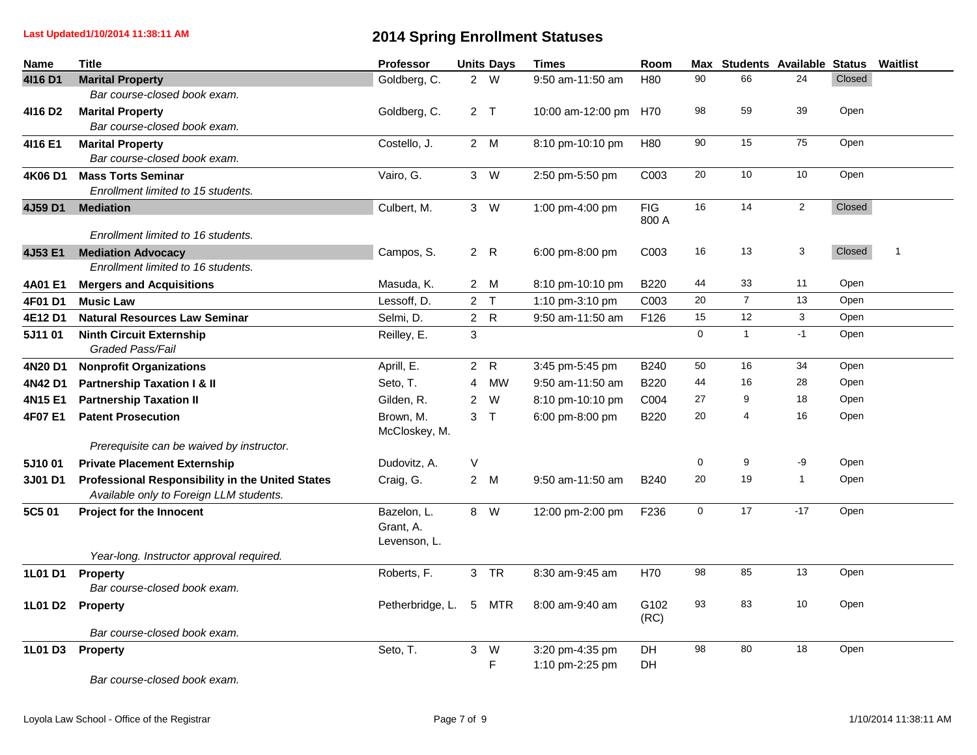| Name                | <b>Title</b>                                        | Professor                                |                 | <b>Units Days</b> | <b>Times</b>          | Room             |             | Max Students Available Status |                |        | Waitlist |
|---------------------|-----------------------------------------------------|------------------------------------------|-----------------|-------------------|-----------------------|------------------|-------------|-------------------------------|----------------|--------|----------|
| 4116 D1             | <b>Marital Property</b>                             | Goldberg, C.                             |                 | 2 W               | 9:50 am-11:50 am      | H <sub>80</sub>  | 90          | 66                            | 24             | Closed |          |
|                     | Bar course-closed book exam.                        |                                          |                 |                   |                       |                  |             |                               |                |        |          |
| 4116 D <sub>2</sub> | <b>Marital Property</b>                             | Goldberg, C.                             |                 | 2 <sub>T</sub>    | 10:00 am-12:00 pm H70 |                  | 98          | 59                            | 39             | Open   |          |
|                     | Bar course-closed book exam.                        |                                          |                 |                   |                       |                  |             |                               |                |        |          |
| 4116 E1             | <b>Marital Property</b>                             | Costello, J.                             |                 | 2 M               | 8:10 pm-10:10 pm      | H80              | 90          | 15                            | 75             | Open   |          |
|                     | Bar course-closed book exam.                        |                                          |                 |                   |                       |                  |             |                               |                |        |          |
| 4K06 D1             | <b>Mass Torts Seminar</b>                           | Vairo, G.                                |                 | 3 W               | 2:50 pm-5:50 pm       | C003             | 20          | $10$                          | 10             | Open   |          |
|                     | Enrollment limited to 15 students.                  |                                          |                 |                   |                       |                  |             |                               |                |        |          |
| 4J59 D1             | <b>Mediation</b>                                    | Culbert, M.                              |                 | 3 W               | 1:00 pm-4:00 pm       | <b>FIG</b>       | 16          | 14                            | $\overline{2}$ | Closed |          |
|                     |                                                     |                                          |                 |                   |                       | 800 A            |             |                               |                |        |          |
|                     | Enrollment limited to 16 students.                  |                                          |                 |                   |                       |                  |             |                               |                |        |          |
| 4J53 E1             | <b>Mediation Advocacy</b>                           | Campos, S.                               |                 | 2 R               | 6:00 pm-8:00 pm       | C003             | 16          | 13                            | 3              | Closed | 1        |
|                     | Enrollment limited to 16 students.                  |                                          |                 |                   |                       |                  |             |                               |                |        |          |
| 4A01 E1             | <b>Mergers and Acquisitions</b>                     | Masuda, K.                               |                 | 2 M               | 8:10 pm-10:10 pm      | <b>B220</b>      | 44          | 33                            | 11             | Open   |          |
| 4F01 D1             | <b>Music Law</b>                                    | Lessoff, D.                              |                 | 2 <sub>T</sub>    | 1:10 pm-3:10 pm       | C003             | 20          | $\overline{7}$                | 13             | Open   |          |
| 4E12 D1             | <b>Natural Resources Law Seminar</b>                | Selmi, D.                                |                 | 2 R               | 9:50 am-11:50 am      | F126             | 15          | 12                            | $\mathbf{3}$   | Open   |          |
| 5J1101              | <b>Ninth Circuit Externship</b><br>Graded Pass/Fail | Reilley, E.                              | 3               |                   |                       |                  | $\mathbf 0$ | $\mathbf{1}$                  | $-1$           | Open   |          |
| 4N20 D1             | <b>Nonprofit Organizations</b>                      | Aprill, E.                               |                 | 2 R               | 3:45 pm-5:45 pm       | B240             | 50          | 16                            | 34             | Open   |          |
| 4N42 D1             | <b>Partnership Taxation I &amp; II</b>              | Seto, T.                                 | 4               | <b>MW</b>         | 9:50 am-11:50 am      | B220             | 44          | 16                            | 28             | Open   |          |
| 4N15 E1             | <b>Partnership Taxation II</b>                      | Gilden, R.                               | $\mathbf{2}$    | W                 | 8:10 pm-10:10 pm      | C004             | 27          | 9                             | 18             | Open   |          |
| 4F07 E1             | <b>Patent Prosecution</b>                           | Brown, M.<br>McCloskey, M.               |                 | 3 <sub>7</sub>    | 6:00 pm-8:00 pm       | B220             | 20          | 4                             | 16             | Open   |          |
|                     | Prerequisite can be waived by instructor.           |                                          |                 |                   |                       |                  |             |                               |                |        |          |
| 5J1001              | <b>Private Placement Externship</b>                 | Dudovitz, A.                             | V               |                   |                       |                  | 0           | 9                             | -9             | Open   |          |
| 3J01 D1             | Professional Responsibility in the United States    | Craig, G.                                |                 | 2 M               | 9:50 am-11:50 am      | B240             | 20          | 19                            | $\mathbf{1}$   | Open   |          |
|                     | Available only to Foreign LLM students.             |                                          |                 |                   |                       |                  |             |                               |                |        |          |
| 5C5 01              | Project for the Innocent                            | Bazelon, L.<br>Grant, A.<br>Levenson, L. |                 | 8 W               | 12:00 pm-2:00 pm      | F <sub>236</sub> | $\mathsf 0$ | 17                            | $-17$          | Open   |          |
|                     | Year-long. Instructor approval required.            |                                          |                 |                   |                       |                  |             |                               |                |        |          |
| <b>1L01 D1</b>      | <b>Property</b><br>Bar course-closed book exam.     | Roberts, F.                              |                 | 3 TR              | 8:30 am-9:45 am       | H70              | 98          | 85                            | 13             | Open   |          |
|                     | 1L01 D2 Property                                    | Petherbridge, L.                         | $5\phantom{.0}$ | <b>MTR</b>        | 8:00 am-9:40 am       | G102<br>(RC)     | 93          | 83                            | 10             | Open   |          |
|                     | Bar course-closed book exam.                        |                                          |                 |                   |                       |                  |             |                               |                |        |          |
| <b>1L01 D3</b>      | Property                                            | Seto, T.                                 | 3 <sup>7</sup>  | W                 | 3:20 pm-4:35 pm       | DH               | 98          | 80                            | 18             | Open   |          |
|                     |                                                     |                                          |                 | F                 | 1:10 pm-2:25 pm       | DH               |             |                               |                |        |          |
|                     | Bar course-closed book exam.                        |                                          |                 |                   |                       |                  |             |                               |                |        |          |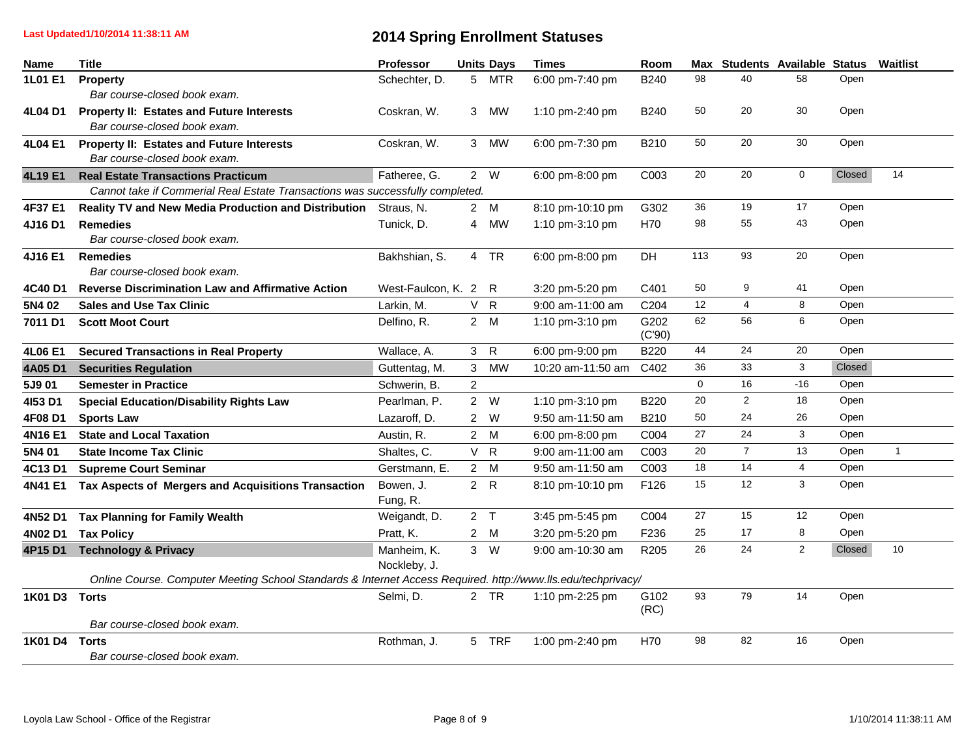| Name           | <b>Title</b>                                                                                                 | Professor            |                | <b>Units Days</b> | <b>Times</b>      | Room             |     | Max Students Available Status |                |        | Waitlist     |
|----------------|--------------------------------------------------------------------------------------------------------------|----------------------|----------------|-------------------|-------------------|------------------|-----|-------------------------------|----------------|--------|--------------|
| <b>1L01 E1</b> | Property                                                                                                     | Schechter, D.        |                | 5 MTR             | 6:00 pm-7:40 pm   | B240             | 98  | 40                            | 58             | Open   |              |
|                | Bar course-closed book exam.                                                                                 |                      |                |                   |                   |                  |     |                               |                |        |              |
| 4L04 D1        | Property II: Estates and Future Interests                                                                    | Coskran, W.          | 3              | <b>MW</b>         | 1:10 pm-2:40 pm   | B <sub>240</sub> | 50  | 20                            | 30             | Open   |              |
|                | Bar course-closed book exam.                                                                                 |                      |                |                   |                   |                  |     |                               |                |        |              |
| 4L04 E1        | <b>Property II: Estates and Future Interests</b>                                                             | Coskran, W.          | 3 <sup>7</sup> | <b>MW</b>         | 6:00 pm-7:30 pm   | B210             | 50  | 20                            | 30             | Open   |              |
|                | Bar course-closed book exam.                                                                                 |                      |                |                   |                   |                  |     |                               |                |        |              |
| 4L19 E1        | <b>Real Estate Transactions Practicum</b>                                                                    | Fatheree, G.         |                | 2 W               | 6:00 pm-8:00 pm   | C003             | 20  | 20                            | $\mathbf 0$    | Closed | 14           |
|                | Cannot take if Commerial Real Estate Transactions was successfully completed.                                |                      |                |                   |                   |                  |     |                               |                |        |              |
| 4F37 E1        | Reality TV and New Media Production and Distribution                                                         | Straus, N.           |                | 2 M               | 8:10 pm-10:10 pm  | G302             | 36  | 19                            | 17             | Open   |              |
| 4J16 D1        | <b>Remedies</b>                                                                                              | Tunick, D.           | 4              | <b>MW</b>         | 1:10 pm-3:10 pm   | H70              | 98  | 55                            | 43             | Open   |              |
|                | Bar course-closed book exam.                                                                                 |                      |                |                   |                   |                  |     |                               |                |        |              |
| 4J16 E1        | <b>Remedies</b>                                                                                              | Bakhshian, S.        |                | 4 TR              | 6:00 pm-8:00 pm   | <b>DH</b>        | 113 | 93                            | 20             | Open   |              |
|                | Bar course-closed book exam.                                                                                 |                      |                |                   |                   |                  |     |                               |                |        |              |
| 4C40 D1        | <b>Reverse Discrimination Law and Affirmative Action</b>                                                     | West-Faulcon, K. 2 R |                |                   | 3:20 pm-5:20 pm   | C401             | 50  | 9                             | 41             | Open   |              |
| 5N4 02         | <b>Sales and Use Tax Clinic</b>                                                                              | Larkin, M.           |                | V R               | 9:00 am-11:00 am  | C204             | 12  | 4                             | 8              | Open   |              |
| 7011 D1        | <b>Scott Moot Court</b>                                                                                      | Delfino, R.          |                | 2 M               | 1:10 pm-3:10 pm   | G202<br>(C'90)   | 62  | 56                            | 6              | Open   |              |
| 4L06 E1        | <b>Secured Transactions in Real Property</b>                                                                 | Wallace, A.          | 3 <sup>7</sup> | $\mathsf{R}$      | 6:00 pm-9:00 pm   | B220             | 44  | 24                            | 20             | Open   |              |
| 4A05 D1        | <b>Securities Regulation</b>                                                                                 | Guttentag, M.        | $\mathbf{3}$   | <b>MW</b>         | 10:20 am-11:50 am | C402             | 36  | 33                            | $\mathbf{3}$   | Closed |              |
| 5J9 01         | <b>Semester in Practice</b>                                                                                  | Schwerin, B.         | $\overline{2}$ |                   |                   |                  | 0   | 16                            | $-16$          | Open   |              |
| 4153 D1        | <b>Special Education/Disability Rights Law</b>                                                               | Pearlman, P.         |                | 2 W               | 1:10 pm-3:10 pm   | <b>B220</b>      | 20  | $\overline{2}$                | 18             | Open   |              |
| 4F08 D1        | <b>Sports Law</b>                                                                                            | Lazaroff, D.         |                | 2 W               | 9:50 am-11:50 am  | B210             | 50  | 24                            | 26             | Open   |              |
| 4N16 E1        | <b>State and Local Taxation</b>                                                                              | Austin, R.           |                | 2 M               | 6:00 pm-8:00 pm   | C004             | 27  | 24                            | 3              | Open   |              |
| 5N4 01         | <b>State Income Tax Clinic</b>                                                                               | Shaltes, C.          |                | V R               | 9:00 am-11:00 am  | C003             | 20  | $\overline{7}$                | 13             | Open   | $\mathbf{1}$ |
| 4C13 D1        | <b>Supreme Court Seminar</b>                                                                                 | Gerstmann, E.        |                | 2 M               | 9:50 am-11:50 am  | C003             | 18  | 14                            | $\overline{4}$ | Open   |              |
| 4N41 E1        | Tax Aspects of Mergers and Acquisitions Transaction                                                          | Bowen, J.            |                | 2 R               | 8:10 pm-10:10 pm  | F126             | 15  | 12                            | 3              | Open   |              |
|                |                                                                                                              | Fung, R.             |                |                   |                   |                  |     |                               |                |        |              |
| 4N52 D1        | <b>Tax Planning for Family Wealth</b>                                                                        | Weigandt, D.         |                | 2 <sub>T</sub>    | 3:45 pm-5:45 pm   | C004             | 27  | 15                            | 12             | Open   |              |
| 4N02 D1        | <b>Tax Policy</b>                                                                                            | Pratt, K.            |                | 2 M               | 3:20 pm-5:20 pm   | F236             | 25  | 17                            | 8              | Open   |              |
| 4P15 D1        | <b>Technology &amp; Privacy</b>                                                                              | Manheim, K.          |                | $3 \quad W$       | 9:00 am-10:30 am  | R205             | 26  | 24                            | $\overline{2}$ | Closed | 10           |
|                |                                                                                                              | Nockleby, J.         |                |                   |                   |                  |     |                               |                |        |              |
|                | Online Course. Computer Meeting School Standards & Internet Access Required. http://www.lls.edu/techprivacy/ |                      |                |                   |                   |                  |     |                               |                |        |              |
| 1K01 D3 Torts  |                                                                                                              | Selmi, D.            |                | 2 TR              | 1:10 pm-2:25 pm   | G102<br>(RC)     | 93  | 79                            | 14             | Open   |              |
|                | Bar course-closed book exam.                                                                                 |                      |                |                   |                   |                  |     |                               |                |        |              |
| 1K01 D4 Torts  |                                                                                                              | Rothman, J.          |                | 5 TRF             | 1:00 pm-2:40 pm   | H70              | 98  | 82                            | 16             | Open   |              |
|                | Bar course-closed book exam.                                                                                 |                      |                |                   |                   |                  |     |                               |                |        |              |